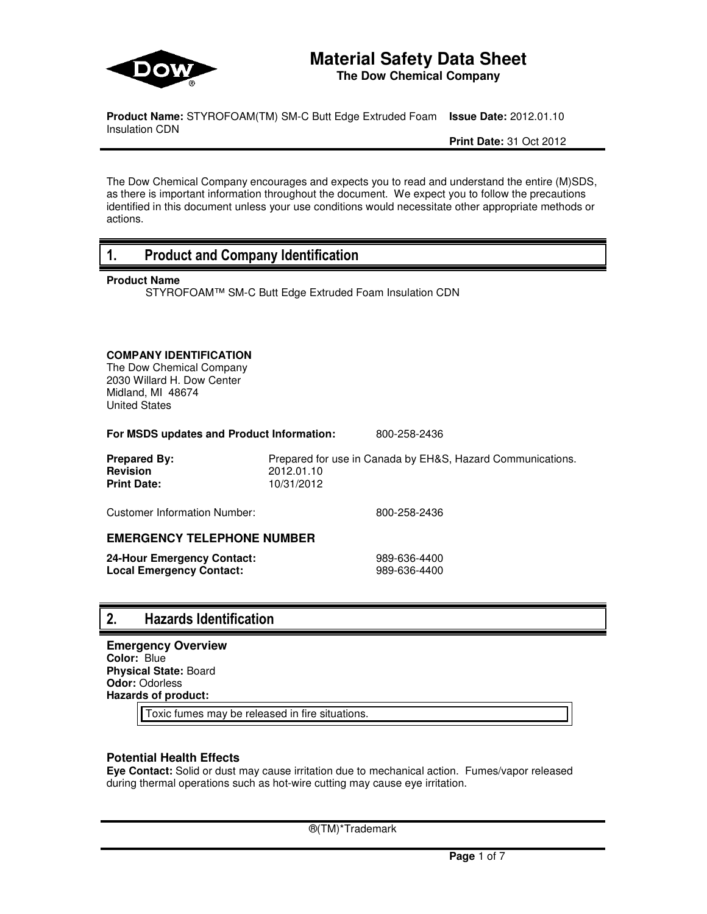

# **Material Safety Data Sheet**

**The Dow Chemical Company**

**Product Name:** STYROFOAM(TM) SM-C Butt Edge Extruded Foam **Issue Date:** 2012.01.10 Insulation CDN

**Print Date:** 31 Oct 2012

The Dow Chemical Company encourages and expects you to read and understand the entire (M)SDS, as there is important information throughout the document. We expect you to follow the precautions identified in this document unless your use conditions would necessitate other appropriate methods or actions.

### **1. Product and Company Identification**

### **Product Name**

STYROFOAM™ SM-C Butt Edge Extruded Foam Insulation CDN

### **COMPANY IDENTIFICATION**

The Dow Chemical Company 2030 Willard H. Dow Center Midland, MI 48674 United States

**For MSDS updates and Product Information:** 800-258-2436

| <b>Prepared By:</b> | Prepared for use in Canada by EH&S, Hazard Communications. |
|---------------------|------------------------------------------------------------|
| <b>Revision</b>     | 2012.01.10                                                 |
| <b>Print Date:</b>  | 10/31/2012                                                 |

Customer Information Number: 800-258-2436

### **EMERGENCY TELEPHONE NUMBER**

| 24-Hour Emergency Contact: | 989-636-4400 |
|----------------------------|--------------|
| Local Emergency Contact:   | 989-636-4400 |

### **2. Hazards Identification**

**Emergency Overview Color:** Blue **Physical State:** Board **Odor:** Odorless **Hazards of product:**

Toxic fumes may be released in fire situations.

### **Potential Health Effects**

**Eye Contact:** Solid or dust may cause irritation due to mechanical action. Fumes/vapor released during thermal operations such as hot-wire cutting may cause eye irritation.

®(TM)\*Trademark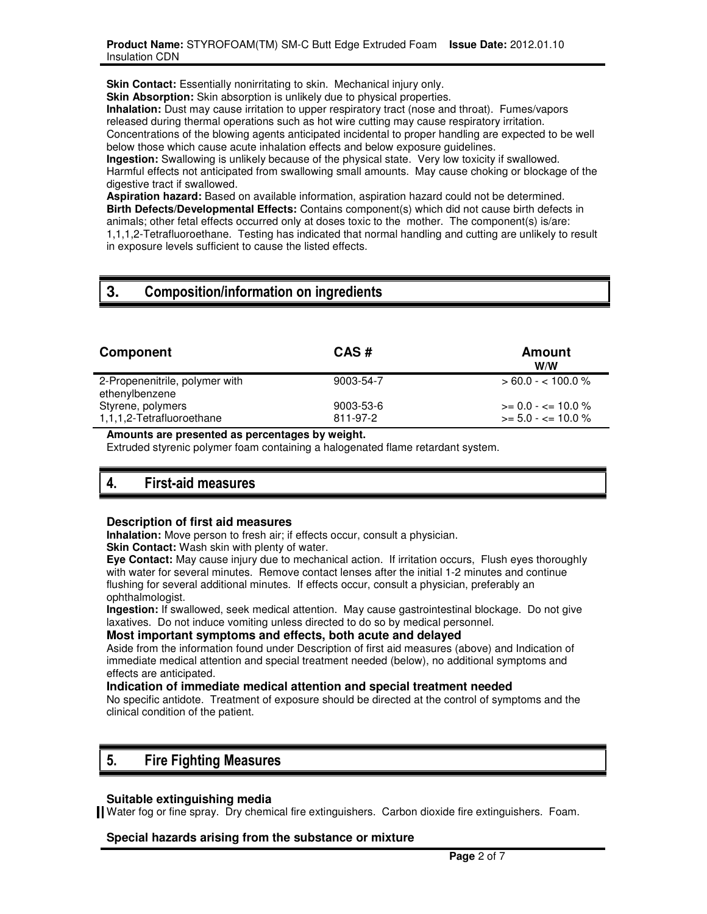**Skin Contact:** Essentially nonirritating to skin. Mechanical injury only.

**Skin Absorption:** Skin absorption is unlikely due to physical properties.

**Inhalation:** Dust may cause irritation to upper respiratory tract (nose and throat). Fumes/vapors released during thermal operations such as hot wire cutting may cause respiratory irritation. Concentrations of the blowing agents anticipated incidental to proper handling are expected to be well below those which cause acute inhalation effects and below exposure guidelines.

**Ingestion:** Swallowing is unlikely because of the physical state. Very low toxicity if swallowed. Harmful effects not anticipated from swallowing small amounts. May cause choking or blockage of the digestive tract if swallowed.

**Aspiration hazard:** Based on available information, aspiration hazard could not be determined. **Birth Defects/Developmental Effects:** Contains component(s) which did not cause birth defects in animals; other fetal effects occurred only at doses toxic to the mother. The component(s) is/are: 1,1,1,2-Tetrafluoroethane. Testing has indicated that normal handling and cutting are unlikely to result in exposure levels sufficient to cause the listed effects.

# **3. Composition/information on ingredients**

| Component                                        | CAS#                  | Amount<br>W/W                                     |
|--------------------------------------------------|-----------------------|---------------------------------------------------|
| 2-Propenenitrile, polymer with<br>ethenylbenzene | 9003-54-7             | $> 60.0 - < 100.0 %$                              |
| Styrene, polymers<br>1,1,1,2-Tetrafluoroethane   | 9003-53-6<br>811-97-2 | $\ge$ = 0.0 - <= 10.0 %<br>$>= 5.0 - \le 10.0 \%$ |

**Amounts are presented as percentages by weight.**

Extruded styrenic polymer foam containing a halogenated flame retardant system.

# **4. First-aid measures**

### **Description of first aid measures**

**Inhalation:** Move person to fresh air; if effects occur, consult a physician.

**Skin Contact:** Wash skin with plenty of water.

**Eye Contact:** May cause injury due to mechanical action. If irritation occurs, Flush eyes thoroughly with water for several minutes. Remove contact lenses after the initial 1-2 minutes and continue flushing for several additional minutes. If effects occur, consult a physician, preferably an ophthalmologist.

**Ingestion:** If swallowed, seek medical attention. May cause gastrointestinal blockage. Do not give laxatives. Do not induce vomiting unless directed to do so by medical personnel.

### **Most important symptoms and effects, both acute and delayed**

Aside from the information found under Description of first aid measures (above) and Indication of immediate medical attention and special treatment needed (below), no additional symptoms and effects are anticipated.

### **Indication of immediate medical attention and special treatment needed**

No specific antidote. Treatment of exposure should be directed at the control of symptoms and the clinical condition of the patient.

# **5. Fire Fighting Measures**

### **Suitable extinguishing media**

Water fog or fine spray. Dry chemical fire extinguishers. Carbon dioxide fire extinguishers. Foam.

### **Special hazards arising from the substance or mixture**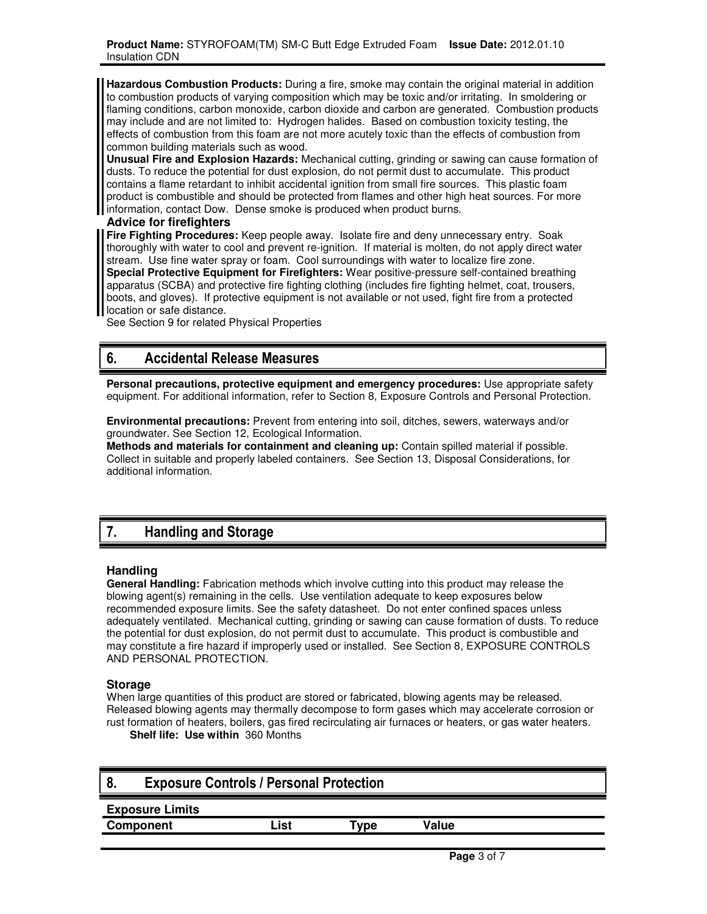**Hazardous Combustion Products:** During a fire, smoke may contain the original material in addition to combustion products of varying composition which may be toxic and/or irritating. In smoldering or flaming conditions, carbon monoxide, carbon dioxide and carbon are generated. Combustion products may include and are not limited to: Hydrogen halides. Based on combustion toxicity testing, the effects of combustion from this foam are not more acutely toxic than the effects of combustion from common building materials such as wood.

**Unusual Fire and Explosion Hazards:** Mechanical cutting, grinding or sawing can cause formation of dusts. To reduce the potential for dust explosion, do not permit dust to accumulate. This product contains a flame retardant to inhibit accidental ignition from small fire sources. This plastic foam product is combustible and should be protected from flames and other high heat sources. For more information, contact Dow. Dense smoke is produced when product burns.

### **Advice for firefighters**

**Fire Fighting Procedures:** Keep people away. Isolate fire and deny unnecessary entry. Soak thoroughly with water to cool and prevent re-ignition. If material is molten, do not apply direct water stream. Use fine water spray or foam. Cool surroundings with water to localize fire zone. **Special Protective Equipment for Firefighters:** Wear positive-pressure self-contained breathing apparatus (SCBA) and protective fire fighting clothing (includes fire fighting helmet, coat, trousers, boots, and gloves). If protective equipment is not available or not used, fight fire from a protected location or safe distance.

See Section 9 for related Physical Properties

# **6. Accidental Release Measures**

**Personal precautions, protective equipment and emergency procedures:** Use appropriate safety equipment. For additional information, refer to Section 8, Exposure Controls and Personal Protection.

**Environmental precautions:** Prevent from entering into soil, ditches, sewers, waterways and/or groundwater. See Section 12, Ecological Information.

**Methods and materials for containment and cleaning up:** Contain spilled material if possible. Collect in suitable and properly labeled containers. See Section 13, Disposal Considerations, for additional information.

# **7. Handling and Storage**

### **Handling**

**General Handling:** Fabrication methods which involve cutting into this product may release the blowing agent(s) remaining in the cells. Use ventilation adequate to keep exposures below recommended exposure limits. See the safety datasheet. Do not enter confined spaces unless adequately ventilated. Mechanical cutting, grinding or sawing can cause formation of dusts. To reduce the potential for dust explosion, do not permit dust to accumulate. This product is combustible and may constitute a fire hazard if improperly used or installed. See Section 8, EXPOSURE CONTROLS AND PERSONAL PROTECTION.

### **Storage**

When large quantities of this product are stored or fabricated, blowing agents may be released. Released blowing agents may thermally decompose to form gases which may accelerate corrosion or rust formation of heaters, boilers, gas fired recirculating air furnaces or heaters, or gas water heaters.

**Shelf life: Use within** 360 Months

| о.                     | <b>Exposure Controls / Personal Protection</b> |       |       |  |
|------------------------|------------------------------------------------|-------|-------|--|
| <b>Exposure Limits</b> |                                                |       |       |  |
| Component              | .ist                                           | vpe " | Value |  |
|                        |                                                |       |       |  |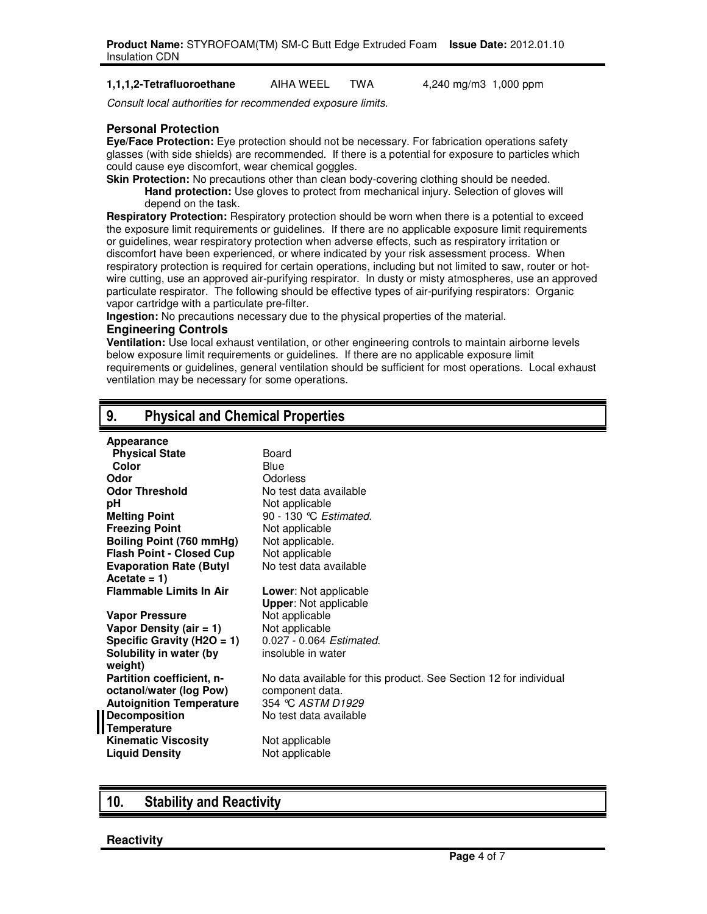#### **1,1,1,2-Tetrafluoroethane** AIHA WEEL TWA 4,240 mg/m3 1,000 ppm

Consult local authorities for recommended exposure limits.

### **Personal Protection**

**Eye/Face Protection:** Eye protection should not be necessary. For fabrication operations safety glasses (with side shields) are recommended. If there is a potential for exposure to particles which could cause eye discomfort, wear chemical goggles.

**Skin Protection:** No precautions other than clean body-covering clothing should be needed. **Hand protection:** Use gloves to protect from mechanical injury. Selection of gloves will depend on the task.

**Respiratory Protection:** Respiratory protection should be worn when there is a potential to exceed the exposure limit requirements or guidelines. If there are no applicable exposure limit requirements or guidelines, wear respiratory protection when adverse effects, such as respiratory irritation or discomfort have been experienced, or where indicated by your risk assessment process. When respiratory protection is required for certain operations, including but not limited to saw, router or hotwire cutting, use an approved air-purifying respirator. In dusty or misty atmospheres, use an approved particulate respirator. The following should be effective types of air-purifying respirators: Organic vapor cartridge with a particulate pre-filter.

**Ingestion:** No precautions necessary due to the physical properties of the material.

#### **Engineering Controls**

**Ventilation:** Use local exhaust ventilation, or other engineering controls to maintain airborne levels below exposure limit requirements or guidelines. If there are no applicable exposure limit requirements or guidelines, general ventilation should be sufficient for most operations. Local exhaust ventilation may be necessary for some operations.

### **9. Physical and Chemical Properties**

| Appearance                      |                                                                   |
|---------------------------------|-------------------------------------------------------------------|
| <b>Physical State</b>           | Board                                                             |
| Color                           | Blue                                                              |
| Odor                            | Odorless                                                          |
| <b>Odor Threshold</b>           | No test data available                                            |
| рH                              | Not applicable                                                    |
| <b>Melting Point</b>            | 90 - 130 °C Estimated.                                            |
| <b>Freezing Point</b>           | Not applicable                                                    |
| Boiling Point (760 mmHg)        | Not applicable.                                                   |
| <b>Flash Point - Closed Cup</b> | Not applicable                                                    |
| <b>Evaporation Rate (Butyl</b>  | No test data available                                            |
| Acetate = $1$ )                 |                                                                   |
| <b>Flammable Limits In Air</b>  | <b>Lower:</b> Not applicable                                      |
|                                 | <b>Upper:</b> Not applicable                                      |
| <b>Vapor Pressure</b>           | Not applicable                                                    |
| Vapor Density (air $= 1$ )      | Not applicable                                                    |
| Specific Gravity ( $H2O = 1$ )  | 0.027 - 0.064 Estimated.                                          |
| Solubility in water (by         | insoluble in water                                                |
| weight)                         |                                                                   |
| Partition coefficient, n-       | No data available for this product. See Section 12 for individual |
| octanol/water (log Pow)         | component data.                                                   |
| <b>Autoignition Temperature</b> | 354 °C ASTM D1929                                                 |
| <b>Decomposition</b>            | No test data available                                            |
| <b>Temperature</b>              |                                                                   |
| <b>Kinematic Viscosity</b>      | Not applicable                                                    |
| <b>Liquid Density</b>           | Not applicable                                                    |

### **10. Stability and Reactivity**

### **Reactivity**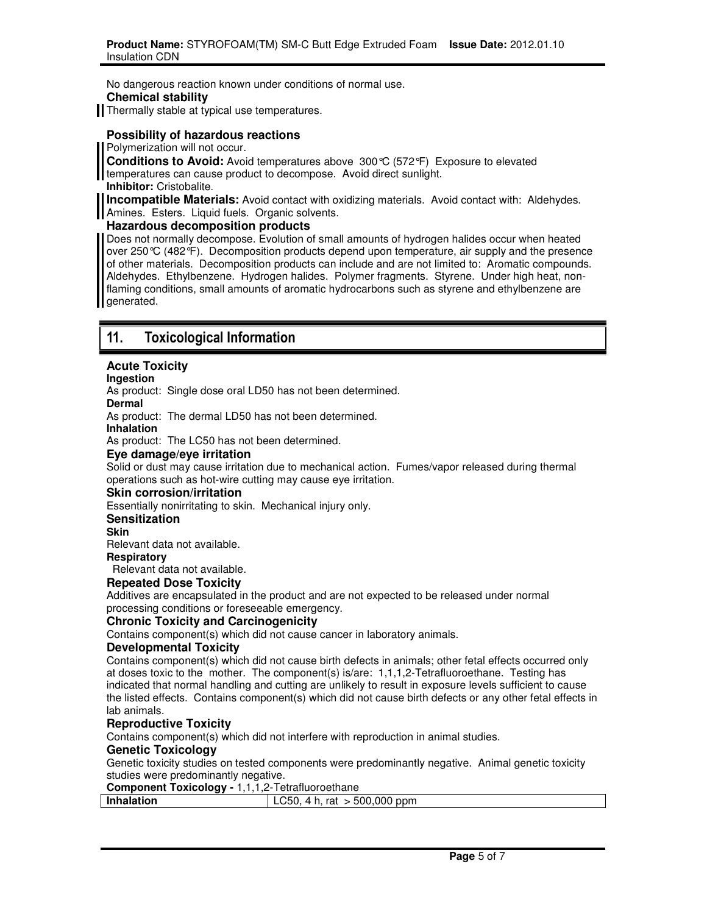No dangerous reaction known under conditions of normal use.

### **Chemical stability**

Thermally stable at typical use temperatures.

### **Possibility of hazardous reactions**

Polymerization will not occur.

**Conditions to Avoid:** Avoid temperatures above 300°C (572°F) Exposure to elevated temperatures can cause product to decompose. Avoid direct sunlight. **Inhibitor:** Cristobalite.

**Incompatible Materials:** Avoid contact with oxidizing materials. Avoid contact with: Aldehydes. Amines. Esters. Liquid fuels. Organic solvents.

### **Hazardous decomposition products**

Does not normally decompose. Evolution of small amounts of hydrogen halides occur when heated over 250°C (482°F). Decomposition products depend upon temperature, air supply and the presence of other materials. Decomposition products can include and are not limited to: Aromatic compounds. Aldehydes. Ethylbenzene. Hydrogen halides. Polymer fragments. Styrene. Under high heat, nonflaming conditions, small amounts of aromatic hydrocarbons such as styrene and ethylbenzene are generated.

# **11. Toxicological Information**

### **Acute Toxicity**

### **Ingestion**

As product: Single dose oral LD50 has not been determined.

**Dermal** 

As product: The dermal LD50 has not been determined.

**Inhalation** 

As product: The LC50 has not been determined.

### **Eye damage/eye irritation**

Solid or dust may cause irritation due to mechanical action. Fumes/vapor released during thermal operations such as hot-wire cutting may cause eye irritation.

### **Skin corrosion/irritation**

Essentially nonirritating to skin. Mechanical injury only.

### **Sensitization**

**Skin** 

Relevant data not available.

**Respiratory**

Relevant data not available.

### **Repeated Dose Toxicity**

Additives are encapsulated in the product and are not expected to be released under normal processing conditions or foreseeable emergency.

### **Chronic Toxicity and Carcinogenicity**

Contains component(s) which did not cause cancer in laboratory animals.

### **Developmental Toxicity**

Contains component(s) which did not cause birth defects in animals; other fetal effects occurred only at doses toxic to the mother. The component(s) is/are: 1,1,1,2-Tetrafluoroethane. Testing has indicated that normal handling and cutting are unlikely to result in exposure levels sufficient to cause the listed effects. Contains component(s) which did not cause birth defects or any other fetal effects in lab animals.

### **Reproductive Toxicity**

Contains component(s) which did not interfere with reproduction in animal studies.

### **Genetic Toxicology**

Genetic toxicity studies on tested components were predominantly negative. Animal genetic toxicity studies were predominantly negative.

### **Component Toxicology -** 1,1,1,2-Tetrafluoroethane

| <b>Inhalation</b> | $> 500,000$ ppm<br>rat<br>LU5U. |
|-------------------|---------------------------------|
|                   |                                 |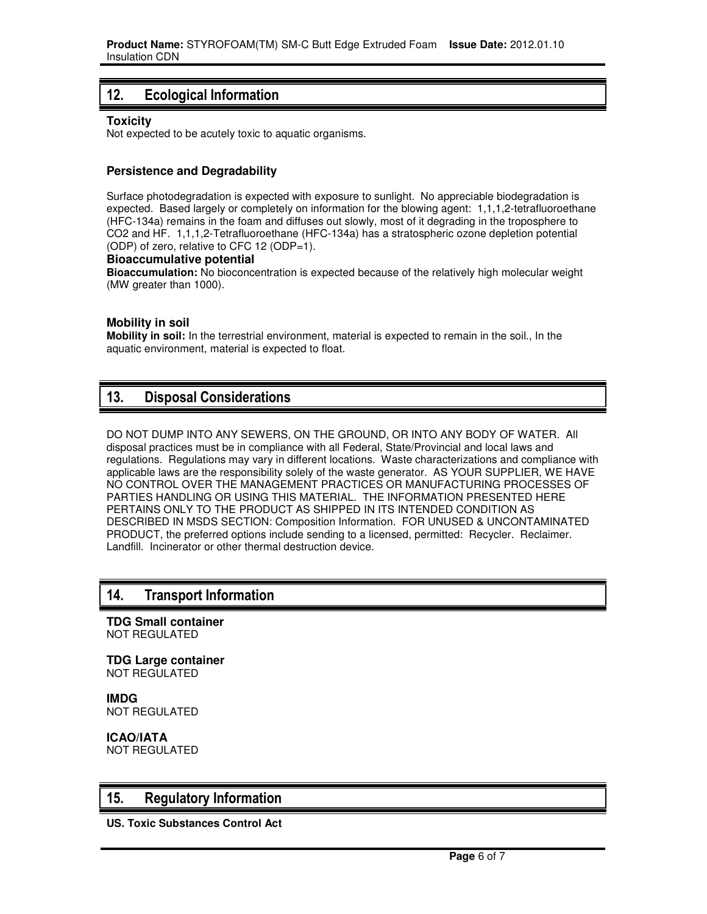# **12. Ecological Information**

### **Toxicity**

Not expected to be acutely toxic to aquatic organisms.

### **Persistence and Degradability**

Surface photodegradation is expected with exposure to sunlight. No appreciable biodegradation is expected. Based largely or completely on information for the blowing agent: 1,1,1,2-tetrafluoroethane (HFC-134a) remains in the foam and diffuses out slowly, most of it degrading in the troposphere to CO2 and HF. 1,1,1,2-Tetrafluoroethane (HFC-134a) has a stratospheric ozone depletion potential (ODP) of zero, relative to CFC 12 (ODP=1).

### **Bioaccumulative potential**

**Bioaccumulation:** No bioconcentration is expected because of the relatively high molecular weight (MW greater than 1000).

### **Mobility in soil**

**Mobility in soil:** In the terrestrial environment, material is expected to remain in the soil., In the aquatic environment, material is expected to float.

### **13. Disposal Considerations**

DO NOT DUMP INTO ANY SEWERS, ON THE GROUND, OR INTO ANY BODY OF WATER. All disposal practices must be in compliance with all Federal, State/Provincial and local laws and regulations. Regulations may vary in different locations. Waste characterizations and compliance with applicable laws are the responsibility solely of the waste generator. AS YOUR SUPPLIER, WE HAVE NO CONTROL OVER THE MANAGEMENT PRACTICES OR MANUFACTURING PROCESSES OF PARTIES HANDLING OR USING THIS MATERIAL. THE INFORMATION PRESENTED HERE PERTAINS ONLY TO THE PRODUCT AS SHIPPED IN ITS INTENDED CONDITION AS DESCRIBED IN MSDS SECTION: Composition Information. FOR UNUSED & UNCONTAMINATED PRODUCT, the preferred options include sending to a licensed, permitted: Recycler. Reclaimer. Landfill. Incinerator or other thermal destruction device.

### **14. Transport Information**

**TDG Small container** NOT REGULATED

**TDG Large container** NOT REGULATED

**IMDG** NOT REGULATED

**ICAO/IATA** NOT REGULATED

### **15. Regulatory Information**

**US. Toxic Substances Control Act**